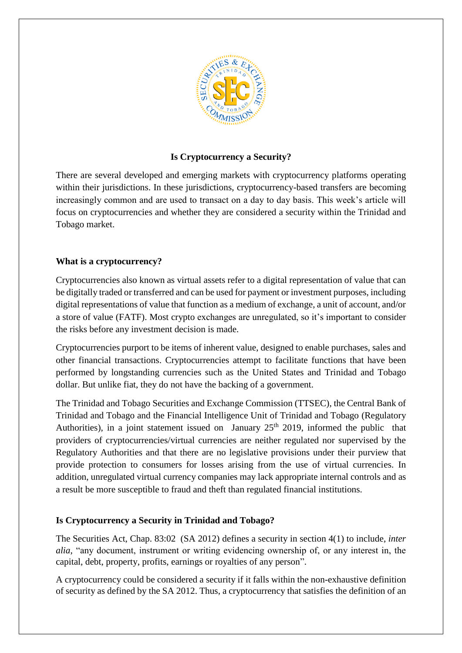

## **Is Cryptocurrency a Security?**

There are several developed and emerging markets with cryptocurrency platforms operating within their jurisdictions. In these jurisdictions, cryptocurrency-based transfers are becoming increasingly common and are used to transact on a day to day basis. This week's article will focus on cryptocurrencies and whether they are considered a security within the Trinidad and Tobago market.

## **What is a cryptocurrency?**

Cryptocurrencies also known as virtual assets refer to a digital representation of value that can be digitally traded or transferred and can be used for payment or investment purposes, including digital representations of value that function as a medium of exchange, a unit of account, and/or a store of value (FATF). Most crypto exchanges are unregulated, so it's important to consider the risks before any investment decision is made.

Cryptocurrencies purport to be items of inherent value, designed to enable purchases, sales and other financial transactions. Cryptocurrencies attempt to facilitate functions that have been performed by longstanding currencies such as the United States and Trinidad and Tobago dollar. But unlike fiat, they do not have the backing of a government.

The Trinidad and Tobago Securities and Exchange Commission (TTSEC), the Central Bank of Trinidad and Tobago and the Financial Intelligence Unit of Trinidad and Tobago (Regulatory Authorities), in a joint statement issued on January  $25<sup>th</sup>$  2019, informed the public that providers of cryptocurrencies/virtual currencies are neither regulated nor supervised by the Regulatory Authorities and that there are no legislative provisions under their purview that provide protection to consumers for losses arising from the use of virtual currencies. In addition, unregulated virtual currency companies may lack appropriate internal controls and as a result be more susceptible to fraud and theft than regulated financial institutions.

## **Is Cryptocurrency a Security in Trinidad and Tobago?**

The Securities Act, Chap. 83:02 (SA 2012) defines a security in section 4(1) to include, *inter alia*, "any document, instrument or writing evidencing ownership of, or any interest in, the capital, debt, property, profits, earnings or royalties of any person".

A cryptocurrency could be considered a security if it falls within the non-exhaustive definition of security as defined by the SA 2012. Thus, a cryptocurrency that satisfies the definition of an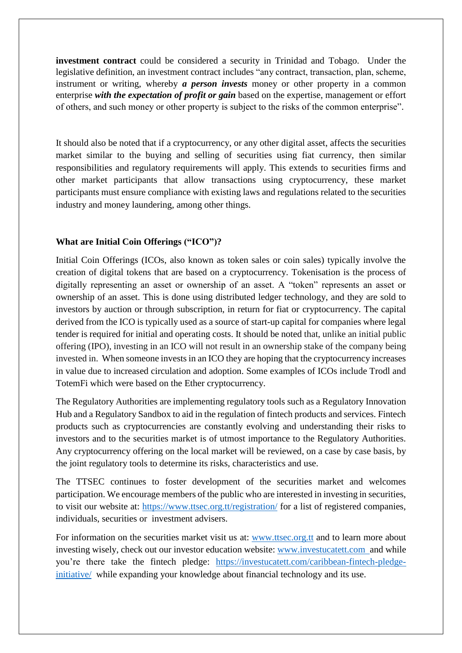**investment contract** could be considered a security in Trinidad and Tobago. Under the legislative definition, an investment contract includes "any contract, transaction, plan, scheme, instrument or writing, whereby *a person invests* money or other property in a common enterprise *with the expectation of profit or gain* based on the expertise, management or effort of others, and such money or other property is subject to the risks of the common enterprise".

It should also be noted that if a cryptocurrency, or any other digital asset, affects the securities market similar to the buying and selling of securities using fiat currency, then similar responsibilities and regulatory requirements will apply. This extends to securities firms and other market participants that allow transactions using cryptocurrency, these market participants must ensure compliance with existing laws and regulations related to the securities industry and money laundering, among other things.

## **What are Initial Coin Offerings ("ICO")?**

Initial Coin Offerings (ICOs, also known as token sales or coin sales) typically involve the creation of digital tokens that are based on a cryptocurrency. Tokenisation is the process of digitally representing an asset or ownership of an asset. A "token" represents an asset or ownership of an asset. This is done using distributed ledger technology, and they are sold to investors by auction or through subscription, in return for fiat or cryptocurrency. The capital derived from the ICO is typically used as a source of start-up capital for companies where legal tender is required for initial and operating costs. It should be noted that, unlike an initial public offering (IPO), investing in an ICO will not result in an ownership stake of the company being invested in. When someone invests in an ICO they are hoping that the cryptocurrency increases in value due to increased circulation and adoption. Some examples of ICOs include Trodl and TotemFi which were based on the Ether cryptocurrency.

The Regulatory Authorities are implementing regulatory tools such as a Regulatory Innovation Hub and a Regulatory Sandbox to aid in the regulation of fintech products and services. Fintech products such as cryptocurrencies are constantly evolving and understanding their risks to investors and to the securities market is of utmost importance to the Regulatory Authorities. Any cryptocurrency offering on the local market will be reviewed, on a case by case basis, by the joint regulatory tools to determine its risks, characteristics and use.

The TTSEC continues to foster development of the securities market and welcomes participation. We encourage members of the public who are interested in investing in securities, to visit our website at: <https://www.ttsec.org.tt/registration/> for a list of registered companies, individuals, securities or investment advisers.

For information on the securities market visit us at: [www.ttsec.org.](http://www.ttsec.org/)tt and to learn more about investing wisely, check out our investor education website: [www.investucatett.com](http://www.investucatett.com/) and while you're there take the fintech pledge: [https://investucatett.com/caribbean-fintech-pledge](https://investucatett.com/caribbean-fintech-pledge-initiative/)[initiative/](https://investucatett.com/caribbean-fintech-pledge-initiative/) while expanding your knowledge about financial technology and its use.